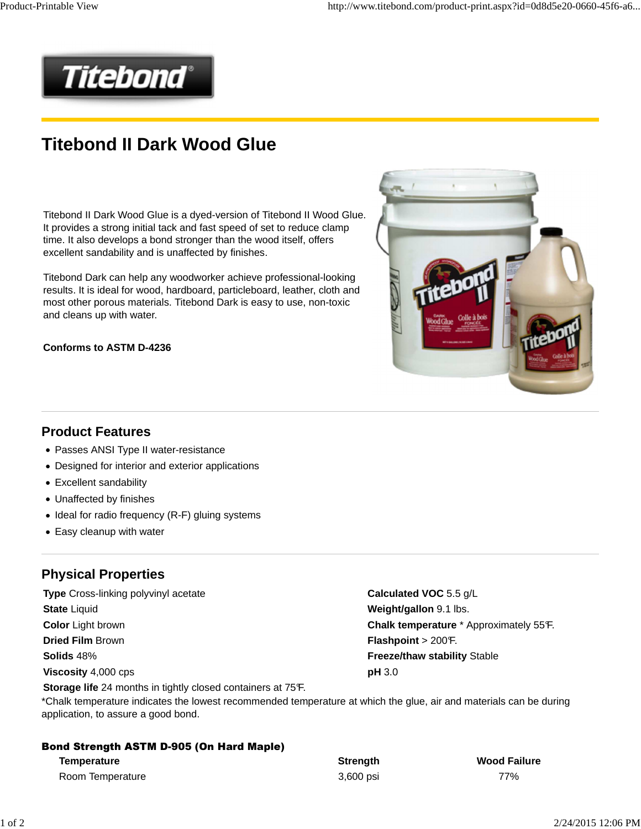

## **Titebond II Dark Wood Glue**

Titebond II Dark Wood Glue is a dyed-version of Titebond II Wood Glue. It provides a strong initial tack and fast speed of set to reduce clamp time. It also develops a bond stronger than the wood itself, offers excellent sandability and is unaffected by finishes.

Titebond Dark can help any woodworker achieve professional-looking results. It is ideal for wood, hardboard, particleboard, leather, cloth and most other porous materials. Titebond Dark is easy to use, non-toxic and cleans up with water.

#### **Conforms to ASTM D-4236**



#### **Product Features**

- Passes ANSI Type II water-resistance
- Designed for interior and exterior applications
- Excellent sandability
- Unaffected by finishes
- Ideal for radio frequency (R-F) gluing systems

**Storage life** 24 months in tightly closed containers at 75°F.

• Easy cleanup with water

#### **Physical Properties**

**Type** Cross-linking polyvinyl acetate **Calculated VOC** 5.5 g/L **State** Liquid **Weight/gallon** 9.1 lbs. **Dried Film** Brown **Flashpoint > 200°F. Flashpoint > 200°F. Flashpoint > 200°F. Solids** 48% **Freeze/thaw stability** Stable **Viscosity** 4,000 cps **pH** 3.0

**Color Light brown <b>Chalk temperature** \* Approximately 55°F.

\*Chalk temperature indicates the lowest recommended temperature at which the glue, air and materials can be during application, to assure a good bond.

| <b>Bond Strength ASTM D-905 (On Hard Maple)</b> |           |                     |  |  |  |
|-------------------------------------------------|-----------|---------------------|--|--|--|
| Temperature                                     | Strenath  | <b>Wood Failure</b> |  |  |  |
| Room Temperature                                | 3.600 psi | 77%                 |  |  |  |